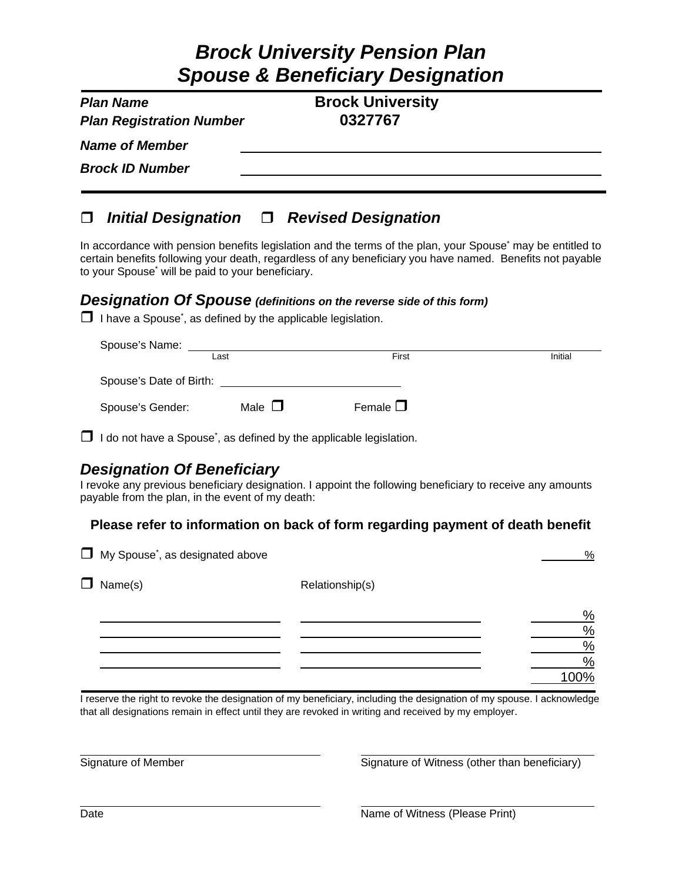# *Brock University Pension Plan Spouse & Beneficiary Designation*

| <b>Plan Name</b><br><b>Plan Registration Number</b> | <b>Brock University</b><br>0327767 |  |
|-----------------------------------------------------|------------------------------------|--|
| <b>Name of Member</b>                               |                                    |  |
| <b>Brock ID Number</b>                              |                                    |  |
|                                                     |                                    |  |

### *Initial Designation Revised Designation*

In accordance with pension benefits legislation and the terms of the plan, your Spouse<sup>\*</sup> may be entitled to certain benefits following your death, regardless of any beneficiary you have named. Benefits not payable to your Spouse<sup>\*</sup> will be paid to your beneficiary.

#### *Designation Of Spouse (definitions on the reverse side of this form)*

 $\Box$  I have a Spouse<sup>\*</sup>, as defined by the applicable legislation.

| Spouse's Name:          |             |                  |         |  |
|-------------------------|-------------|------------------|---------|--|
|                         | Last        | First            | Initial |  |
| Spouse's Date of Birth: |             |                  |         |  |
| Spouse's Gender:        | Male $\Box$ | Female $\square$ |         |  |

 $\Box$  I do not have a Spouse<sup>\*</sup>, as defined by the applicable legislation.

### *Designation Of Beneficiary*

I revoke any previous beneficiary designation. I appoint the following beneficiary to receive any amounts payable from the plan, in the event of my death:

#### **Please refer to information on back of form regarding payment of death benefit**

|        | My Spouse <sup>*</sup> , as designated above |                 | %    |
|--------|----------------------------------------------|-----------------|------|
| $\Box$ | Name(s)                                      | Relationship(s) |      |
|        |                                              |                 | %    |
|        |                                              |                 | $\%$ |
|        |                                              |                 | $\%$ |
|        |                                              |                 | $\%$ |
|        |                                              |                 | 100% |

I reserve the right to revoke the designation of my beneficiary, including the designation of my spouse. I acknowledge that all designations remain in effect until they are revoked in writing and received by my employer.

Signature of Member Signature of Witness (other than beneficiary)

Date **Name of Witness (Please Print)** Date **Name of Witness (Please Print**)